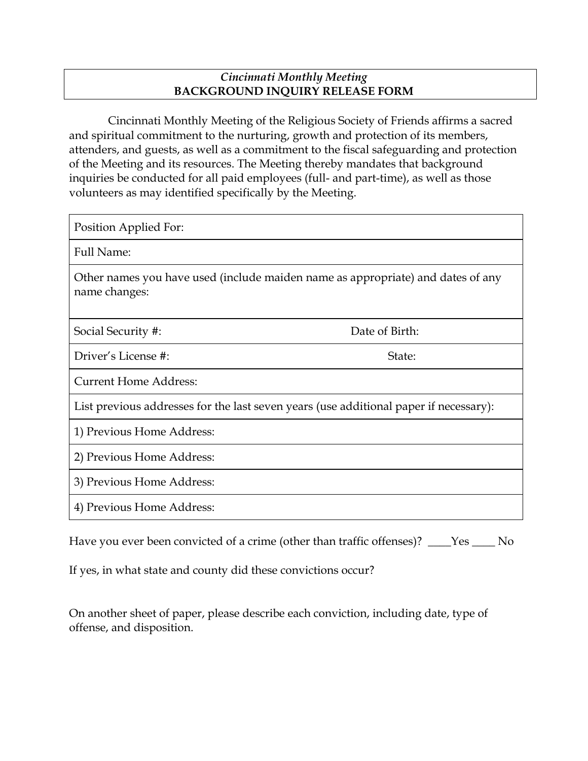## *Cincinnati Monthly Meeting*  **BACKGROUND INQUIRY RELEASE FORM**

Cincinnati Monthly Meeting of the Religious Society of Friends affirms a sacred and spiritual commitment to the nurturing, growth and protection of its members, attenders, and guests, as well as a commitment to the fiscal safeguarding and protection of the Meeting and its resources. The Meeting thereby mandates that background inquiries be conducted for all paid employees (full- and part-time), as well as those volunteers as may identified specifically by the Meeting.

Position Applied For: Full Name: Other names you have used (include maiden name as appropriate) and dates of any name changes: Social Security #: Date of Birth: Driver's License #: State: Current Home Address: List previous addresses for the last seven years (use additional paper if necessary): 1) Previous Home Address: 2) Previous Home Address: 3) Previous Home Address: 4) Previous Home Address:

Have you ever been convicted of a crime (other than traffic offenses)? \_\_\_Yes \_\_\_ No

If yes, in what state and county did these convictions occur?

On another sheet of paper, please describe each conviction, including date, type of offense, and disposition.